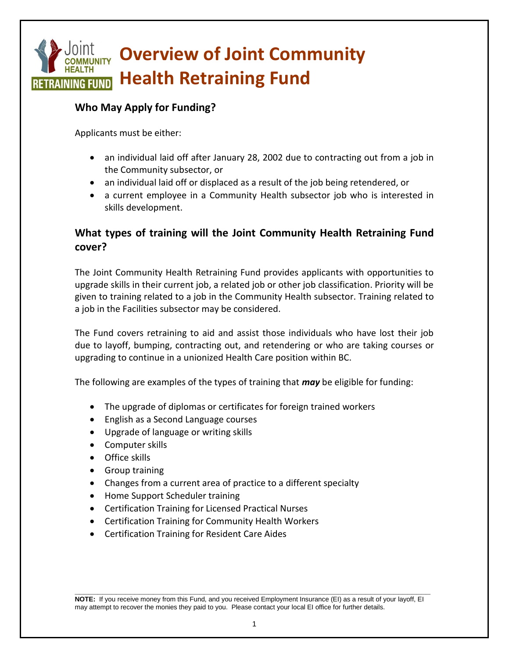# **Overview of Joint Community Health Retraining Fund RETRAINING FUND**

## **Who May Apply for Funding?**

Applicants must be either:

- an individual laid off after January 28, 2002 due to contracting out from a job in the Community subsector, or
- an individual laid off or displaced as a result of the job being retendered, or
- a current employee in a Community Health subsector job who is interested in skills development.

# **What types of training will the Joint Community Health Retraining Fund cover?**

The Joint Community Health Retraining Fund provides applicants with opportunities to upgrade skills in their current job, a related job or other job classification. Priority will be given to training related to a job in the Community Health subsector. Training related to a job in the Facilities subsector may be considered.

The Fund covers retraining to aid and assist those individuals who have lost their job due to layoff, bumping, contracting out, and retendering or who are taking courses or upgrading to continue in a unionized Health Care position within BC.

The following are examples of the types of training that *may* be eligible for funding:

- The upgrade of diplomas or certificates for foreign trained workers
- English as a Second Language courses
- Upgrade of language or writing skills
- Computer skills
- Office skills
- Group training
- Changes from a current area of practice to a different specialty
- Home Support Scheduler training
- Certification Training for Licensed Practical Nurses
- Certification Training for Community Health Workers
- Certification Training for Resident Care Aides

**\_\_\_\_\_\_\_\_\_\_\_\_\_\_\_\_\_\_\_\_\_\_\_\_\_\_\_\_\_\_\_\_\_\_\_\_\_\_\_\_\_\_\_\_\_\_\_\_\_\_\_\_\_\_\_\_\_\_\_\_\_\_\_\_\_\_\_\_\_\_\_\_\_\_\_\_\_ NOTE:** If you receive money from this Fund, and you received Employment Insurance (EI) as a result of your layoff, EI may attempt to recover the monies they paid to you. Please contact your local EI office for further details.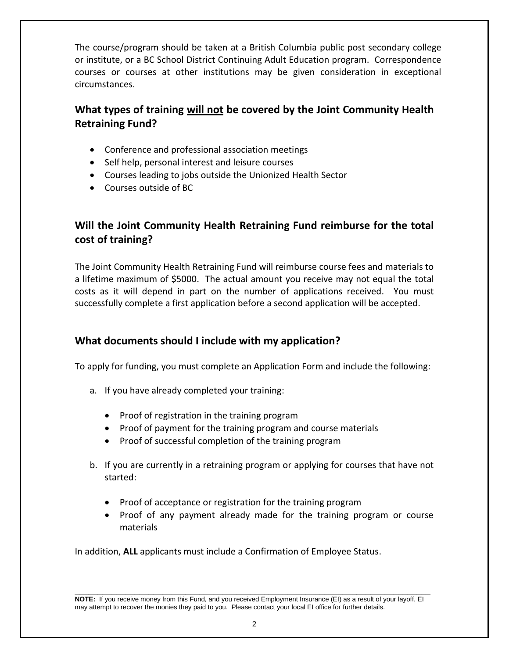The course/program should be taken at a British Columbia public post secondary college or institute, or a BC School District Continuing Adult Education program. Correspondence courses or courses at other institutions may be given consideration in exceptional circumstances.

# **What types of training will not be covered by the Joint Community Health Retraining Fund?**

- Conference and professional association meetings
- Self help, personal interest and leisure courses
- Courses leading to jobs outside the Unionized Health Sector
- Courses outside of BC

## **Will the Joint Community Health Retraining Fund reimburse for the total cost of training?**

The Joint Community Health Retraining Fund will reimburse course fees and materials to a lifetime maximum of \$5000. The actual amount you receive may not equal the total costs as it will depend in part on the number of applications received. You must successfully complete a first application before a second application will be accepted.

## **What documents should I include with my application?**

To apply for funding, you must complete an Application Form and include the following:

- a. If you have already completed your training:
	- Proof of registration in the training program
	- Proof of payment for the training program and course materials
	- Proof of successful completion of the training program
- b. If you are currently in a retraining program or applying for courses that have not started:
	- Proof of acceptance or registration for the training program
	- Proof of any payment already made for the training program or course materials

In addition, **ALL** applicants must include a Confirmation of Employee Status.

**\_\_\_\_\_\_\_\_\_\_\_\_\_\_\_\_\_\_\_\_\_\_\_\_\_\_\_\_\_\_\_\_\_\_\_\_\_\_\_\_\_\_\_\_\_\_\_\_\_\_\_\_\_\_\_\_\_\_\_\_\_\_\_\_\_\_\_\_\_\_\_\_\_\_\_\_\_ NOTE:** If you receive money from this Fund, and you received Employment Insurance (EI) as a result of your layoff, EI may attempt to recover the monies they paid to you. Please contact your local EI office for further details.